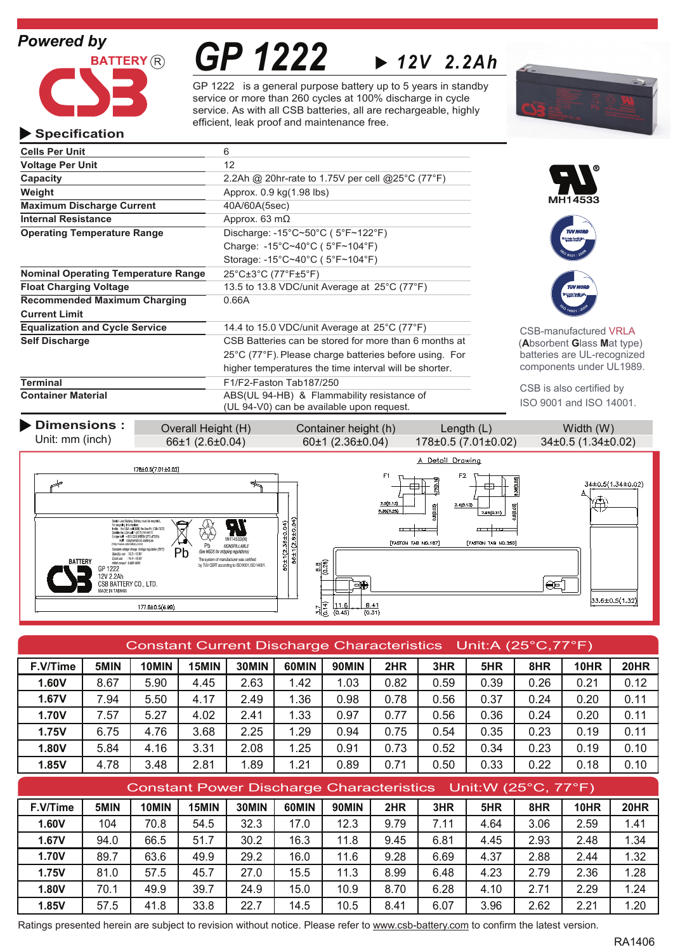# *Powered by*



*GP 1222 12V 2.2Ah*

GP 1222 is a general purpose battery up to 5 years in standby service or more than 260 cycles at 100% discharge in cycle service. As with all CSB batteries, all are rechargeable, highly efficient, leak proof and maintenance free.



## **Specification**

| <b>Voltage Per Unit</b><br>12<br>Capacity<br>2.2Ah @ 20hr-rate to 1.75V per cell @ 25 <sup>°</sup> C (77 <sup>°</sup> F)<br>Weight<br>Approx. 0.9 kg(1.98 lbs)<br>MH14533<br><b>Maximum Discharge Current</b><br>40A/60A(5sec)<br><b>Internal Resistance</b><br>Approx. 63 $m\Omega$<br>Discharge: -15°C~50°C (5°F~122°F)<br><b>Operating Temperature Range</b><br><b>TUV NOR</b><br>Charge: -15°C~40°C (5°F~104°F)<br>Storage: $-15^{\circ}$ C $\sim$ 40 $^{\circ}$ C (5 $^{\circ}$ F $\sim$ 104 $^{\circ}$ F)<br><b>Nominal Operating Temperature Range</b><br>$25^{\circ}$ C $\pm 3^{\circ}$ C (77 $^{\circ}$ F $\pm 5^{\circ}$ F)<br><b>Float Charging Voltage</b><br>13.5 to 13.8 VDC/unit Average at $25^{\circ}$ C (77 $^{\circ}$ F)<br><b>Recommended Maximum Charging</b><br>0.66A<br><b>Current Limit</b><br><b>Equalization and Cycle Service</b><br>14.4 to 15.0 VDC/unit Average at 25°C (77°F)<br><b>CSB-manufactured VRLA</b><br>CSB Batteries can be stored for more than 6 months at<br><b>Self Discharge</b><br>(Absorbent Glass Mat type)<br>batteries are UL-recognized<br>25°C (77°F). Please charge batteries before using. For<br>components under UL1989.<br>higher temperatures the time interval will be shorter.<br><b>Terminal</b><br>F1/F2-Faston Tab187/250<br>CSB is also certified by<br><b>Container Material</b><br>ABS(UL 94-HB) & Flammability resistance of<br>ISO 9001 and ISO 14001.<br>(UL 94-V0) can be available upon request. | <b>Cells Per Unit</b> | 6 |  |
|--------------------------------------------------------------------------------------------------------------------------------------------------------------------------------------------------------------------------------------------------------------------------------------------------------------------------------------------------------------------------------------------------------------------------------------------------------------------------------------------------------------------------------------------------------------------------------------------------------------------------------------------------------------------------------------------------------------------------------------------------------------------------------------------------------------------------------------------------------------------------------------------------------------------------------------------------------------------------------------------------------------------------------------------------------------------------------------------------------------------------------------------------------------------------------------------------------------------------------------------------------------------------------------------------------------------------------------------------------------------------------------------------------------------------------------------------------------------------|-----------------------|---|--|
|                                                                                                                                                                                                                                                                                                                                                                                                                                                                                                                                                                                                                                                                                                                                                                                                                                                                                                                                                                                                                                                                                                                                                                                                                                                                                                                                                                                                                                                                          |                       |   |  |
|                                                                                                                                                                                                                                                                                                                                                                                                                                                                                                                                                                                                                                                                                                                                                                                                                                                                                                                                                                                                                                                                                                                                                                                                                                                                                                                                                                                                                                                                          |                       |   |  |
|                                                                                                                                                                                                                                                                                                                                                                                                                                                                                                                                                                                                                                                                                                                                                                                                                                                                                                                                                                                                                                                                                                                                                                                                                                                                                                                                                                                                                                                                          |                       |   |  |
|                                                                                                                                                                                                                                                                                                                                                                                                                                                                                                                                                                                                                                                                                                                                                                                                                                                                                                                                                                                                                                                                                                                                                                                                                                                                                                                                                                                                                                                                          |                       |   |  |
|                                                                                                                                                                                                                                                                                                                                                                                                                                                                                                                                                                                                                                                                                                                                                                                                                                                                                                                                                                                                                                                                                                                                                                                                                                                                                                                                                                                                                                                                          |                       |   |  |
|                                                                                                                                                                                                                                                                                                                                                                                                                                                                                                                                                                                                                                                                                                                                                                                                                                                                                                                                                                                                                                                                                                                                                                                                                                                                                                                                                                                                                                                                          |                       |   |  |
|                                                                                                                                                                                                                                                                                                                                                                                                                                                                                                                                                                                                                                                                                                                                                                                                                                                                                                                                                                                                                                                                                                                                                                                                                                                                                                                                                                                                                                                                          |                       |   |  |
|                                                                                                                                                                                                                                                                                                                                                                                                                                                                                                                                                                                                                                                                                                                                                                                                                                                                                                                                                                                                                                                                                                                                                                                                                                                                                                                                                                                                                                                                          |                       |   |  |
|                                                                                                                                                                                                                                                                                                                                                                                                                                                                                                                                                                                                                                                                                                                                                                                                                                                                                                                                                                                                                                                                                                                                                                                                                                                                                                                                                                                                                                                                          |                       |   |  |
|                                                                                                                                                                                                                                                                                                                                                                                                                                                                                                                                                                                                                                                                                                                                                                                                                                                                                                                                                                                                                                                                                                                                                                                                                                                                                                                                                                                                                                                                          |                       |   |  |
|                                                                                                                                                                                                                                                                                                                                                                                                                                                                                                                                                                                                                                                                                                                                                                                                                                                                                                                                                                                                                                                                                                                                                                                                                                                                                                                                                                                                                                                                          |                       |   |  |
|                                                                                                                                                                                                                                                                                                                                                                                                                                                                                                                                                                                                                                                                                                                                                                                                                                                                                                                                                                                                                                                                                                                                                                                                                                                                                                                                                                                                                                                                          |                       |   |  |
|                                                                                                                                                                                                                                                                                                                                                                                                                                                                                                                                                                                                                                                                                                                                                                                                                                                                                                                                                                                                                                                                                                                                                                                                                                                                                                                                                                                                                                                                          |                       |   |  |
|                                                                                                                                                                                                                                                                                                                                                                                                                                                                                                                                                                                                                                                                                                                                                                                                                                                                                                                                                                                                                                                                                                                                                                                                                                                                                                                                                                                                                                                                          |                       |   |  |
|                                                                                                                                                                                                                                                                                                                                                                                                                                                                                                                                                                                                                                                                                                                                                                                                                                                                                                                                                                                                                                                                                                                                                                                                                                                                                                                                                                                                                                                                          |                       |   |  |
|                                                                                                                                                                                                                                                                                                                                                                                                                                                                                                                                                                                                                                                                                                                                                                                                                                                                                                                                                                                                                                                                                                                                                                                                                                                                                                                                                                                                                                                                          |                       |   |  |
|                                                                                                                                                                                                                                                                                                                                                                                                                                                                                                                                                                                                                                                                                                                                                                                                                                                                                                                                                                                                                                                                                                                                                                                                                                                                                                                                                                                                                                                                          |                       |   |  |
|                                                                                                                                                                                                                                                                                                                                                                                                                                                                                                                                                                                                                                                                                                                                                                                                                                                                                                                                                                                                                                                                                                                                                                                                                                                                                                                                                                                                                                                                          |                       |   |  |
|                                                                                                                                                                                                                                                                                                                                                                                                                                                                                                                                                                                                                                                                                                                                                                                                                                                                                                                                                                                                                                                                                                                                                                                                                                                                                                                                                                                                                                                                          |                       |   |  |



| Constant Current Discharge Characteristics Unit:A (25°C,77°F) |      |       |       |       |       |              |      |      |      |      |      |             |
|---------------------------------------------------------------|------|-------|-------|-------|-------|--------------|------|------|------|------|------|-------------|
| F.V/Time                                                      | 5MIN | 10MIN | 15MIN | 30MIN | 60MIN | <b>90MIN</b> | 2HR  | 3HR  | 5HR  | 8HR  | 10HR | <b>20HR</b> |
| 1.60V                                                         | 8.67 | 5.90  | 4.45  | 2.63  | 1.42  | 1.03         | 0.82 | 0.59 | 0.39 | 0.26 | 0.21 | 0.12        |
| 1.67V                                                         | 7.94 | 5.50  | 4.17  | 2.49  | 1.36  | 0.98         | 0.78 | 0.56 | 0.37 | 0.24 | 0.20 | 0.11        |
| 1.70V                                                         | 7.57 | 5.27  | 4.02  | 2.41  | 1.33  | 0.97         | 0.77 | 0.56 | 0.36 | 0.24 | 0.20 | 0.11        |
| 1.75V                                                         | 6.75 | 4.76  | 3.68  | 2.25  | 1.29  | 0.94         | 0.75 | 0.54 | 0.35 | 0.23 | 0.19 | 0.11        |
| 1.80V                                                         | 5.84 | 4.16  | 3.31  | 2.08  | 1.25  | 0.91         | 0.73 | 0.52 | 0.34 | 0.23 | 0.19 | 0.10        |
| 1.85V                                                         | 4.78 | 3.48  | 2.81  | 1.89  | 1.21  | 0.89         | 0.71 | 0.50 | 0.33 | 0.22 | 0.18 | 0.10        |
| Constant Power Discharge Characteristics Unit:W (25°C, 77°F)  |      |       |       |       |       |              |      |      |      |      |      |             |

|          |      |       |       |       |       |              |      | <b>Constant Fower Discharge Characteristics Criticity (20 C, IT T)</b> |      |      |      |      |
|----------|------|-------|-------|-------|-------|--------------|------|------------------------------------------------------------------------|------|------|------|------|
| F.V/Time | 5MIN | 10MIN | 15MIN | 30MIN | 60MIN | <b>90MIN</b> | 2HR  | 3HR                                                                    | 5HR  | 8HR  | 10HR | 20HR |
| 1.60V    | 104  | 70.8  | 54.5  | 32.3  | 17.0  | 12.3         | 9.79 | 7.11                                                                   | 4.64 | 3.06 | 2.59 | 1.41 |
| 1.67V    | 94.0 | 66.5  | 51.7  | 30.2  | 16.3  | 11.8         | 9.45 | 6.81                                                                   | 4.45 | 2.93 | 2.48 | 1.34 |
| 1.70V    | 89.7 | 63.6  | 49.9  | 29.2  | 16.0  | 11.6         | 9.28 | 6.69                                                                   | 4.37 | 2.88 | 2.44 | 1.32 |
| 1.75V    | 81.0 | 57.5  | 45.7  | 27.0  | 15.5  | 11.3         | 8.99 | 6.48                                                                   | 4.23 | 2.79 | 2.36 | 1.28 |
| 1.80V    | 70.1 | 49.9  | 39.7  | 24.9  | 15.0  | 10.9         | 8.70 | 6.28                                                                   | 4.10 | 2.71 | 2.29 | 1.24 |
| 1.85V    | 57.5 | 41.8  | 33.8  | 22.7  | 14.5  | 10.5         | 8.41 | 6.07                                                                   | 3.96 | 2.62 | 2.21 | 1.20 |

Ratings presented herein are subject to revision without notice. Please refer to www.csb-battery.com to confirm the latest version.